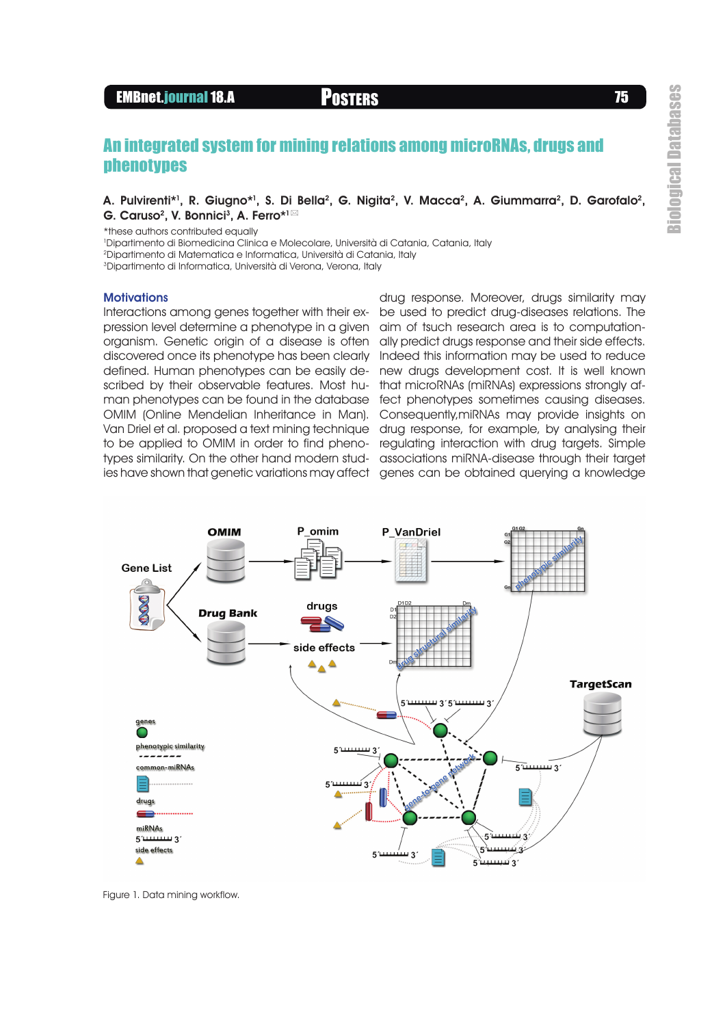# EMBnet.journal 18.A POSTERS <sup>75</sup>

# An integrated system for mining relations among microRNAs, drugs and phenotypes

## A. Pulvirenti\*1, R. Giugno\*1, S. Di Bella<sup>2</sup>, G. Nigita<sup>2</sup>, V. Macca<sup>2</sup>, A. Giummarra<sup>2</sup>, D. Garofalo<sup>2</sup>, G. Caruso<sup>2</sup>, V. Bonnici<sup>3</sup>, A. Ferro\*<sup>1⊠</sup>

\*these authors contributed equally

<sup>1</sup>Dipartimento di Biomedicina Clinica e Molecolare, Università di Catania, Catania, Italy

<sup>2</sup>Dipartimento di Matematica e Informatica, Università di Catania, Italy

<sup>3</sup>Dipartimento di Informatica, Università di Verona, Verona, Italy

#### **Motivations**

Interactions among genes together with their expression level determine a phenotype in a given organism. Genetic origin of a disease is often discovered once its phenotype has been clearly defined. Human phenotypes can be easily de-new drugs development cost. It is well known scribed by their observable features. Most hu-that microRNAs (miRNAs) expressions strongly afman phenotypes can be found in the database fect phenotypes sometimes causing diseases. OMIM (Online Mendelian Inheritance in Man). Van Driel et al. proposed a text mining technique drug response, for example, by analysing their to be applied to OMIM in order to find phenotypes similarity. On the other hand modern stud-associations miRNA-disease through their target ies have shown that genetic variations may affect genes can be obtained querying a knowledge

drug response. Moreover, drugs similarity may be used to predict drug-diseases relations. The aim of tsuch research area is to computationally predict drugs response and their side effects. Indeed this information may be used to reduce Consequently,miRNAs may provide insights on regulating interaction with drug targets. Simple



Figure 1. Data mining workflow.